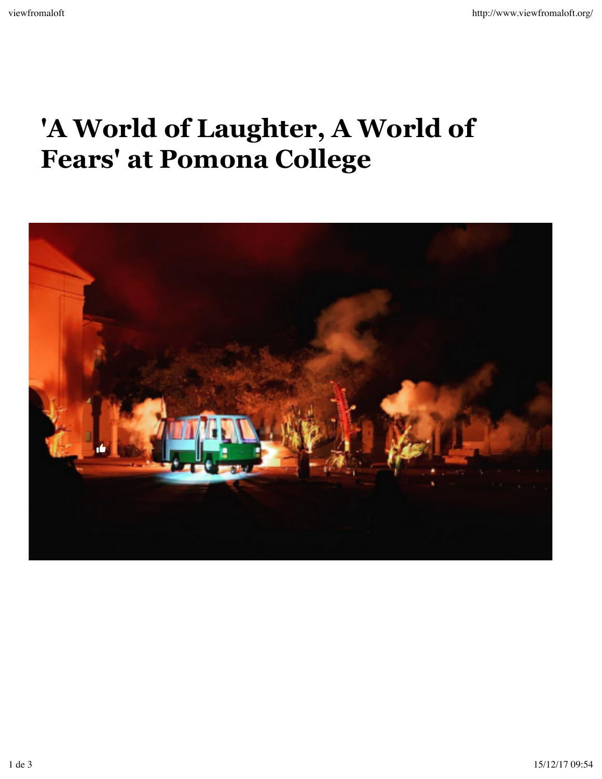## **'A World of Laughter, A World of Fears' at Pomona College**

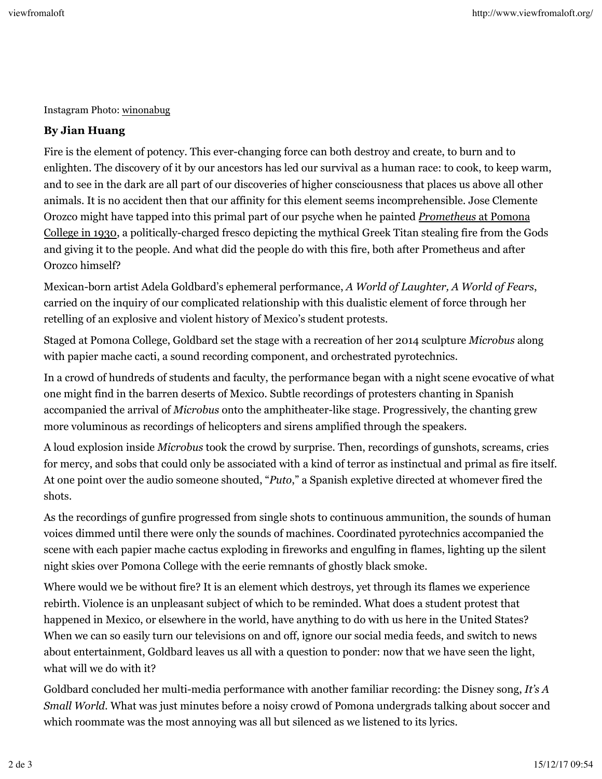Instagram Photo: winonabug

## **By Jian Huang**

Fire is the element of potency. This ever-changing force can both destroy and create, to burn and to enlighten. The discovery of it by our ancestors has led our survival as a human race: to cook, to keep warm, and to see in the dark are all part of our discoveries of higher consciousness that places us above all other animals. It is no accident then that our affinity for this element seems incomprehensible. Jose Clemente Orozco might have tapped into this primal part of our psyche when he painted *Prometheus* at Pomona College in 1930, a politically-charged fresco depicting the mythical Greek Titan stealing fire from the Gods and giving it to the people. And what did the people do with this fire, both after Prometheus and after Orozco himself?

Mexican-born artist Adela Goldbard's ephemeral performance, *A World of Laughter, A World of Fears*, carried on the inquiry of our complicated relationship with this dualistic element of force through her retelling of an explosive and violent history of Mexico's student protests.

Staged at Pomona College, Goldbard set the stage with a recreation of her 2014 sculpture *Microbus* along with papier mache cacti, a sound recording component, and orchestrated pyrotechnics.

In a crowd of hundreds of students and faculty, the performance began with a night scene evocative of what one might find in the barren deserts of Mexico. Subtle recordings of protesters chanting in Spanish accompanied the arrival of *Microbus* onto the amphitheater-like stage. Progressively, the chanting grew more voluminous as recordings of helicopters and sirens amplified through the speakers.

A loud explosion inside *Microbus* took the crowd by surprise. Then, recordings of gunshots, screams, cries for mercy, and sobs that could only be associated with a kind of terror as instinctual and primal as fire itself. At one point over the audio someone shouted, "*Puto*," a Spanish expletive directed at whomever fired the shots.

As the recordings of gunfire progressed from single shots to continuous ammunition, the sounds of human voices dimmed until there were only the sounds of machines. Coordinated pyrotechnics accompanied the scene with each papier mache cactus exploding in fireworks and engulfing in flames, lighting up the silent night skies over Pomona College with the eerie remnants of ghostly black smoke.

Where would we be without fire? It is an element which destroys, yet through its flames we experience rebirth. Violence is an unpleasant subject of which to be reminded. What does a student protest that happened in Mexico, or elsewhere in the world, have anything to do with us here in the United States? When we can so easily turn our televisions on and off, ignore our social media feeds, and switch to news about entertainment, Goldbard leaves us all with a question to ponder: now that we have seen the light, what will we do with it?

Goldbard concluded her multi-media performance with another familiar recording: the Disney song, *It's A Small World*. What was just minutes before a noisy crowd of Pomona undergrads talking about soccer and which roommate was the most annoying was all but silenced as we listened to its lyrics.